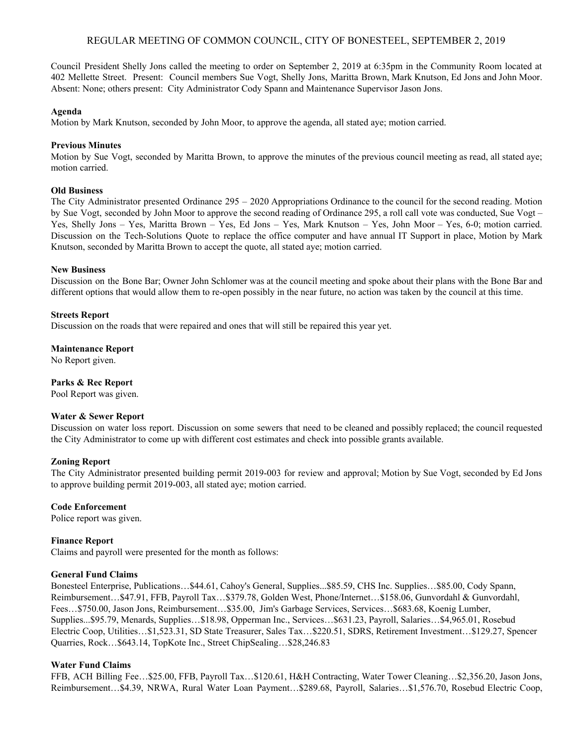# REGULAR MEETING OF COMMON COUNCIL, CITY OF BONESTEEL, SEPTEMBER 2, 2019

Council President Shelly Jons called the meeting to order on September 2, 2019 at 6:35pm in the Community Room located at 402 Mellette Street. Present: Council members Sue Vogt, Shelly Jons, Maritta Brown, Mark Knutson, Ed Jons and John Moor. Absent: None; others present: City Administrator Cody Spann and Maintenance Supervisor Jason Jons.

#### **Agenda**

Motion by Mark Knutson, seconded by John Moor, to approve the agenda, all stated aye; motion carried.

## **Previous Minutes**

Motion by Sue Vogt, seconded by Maritta Brown, to approve the minutes of the previous council meeting as read, all stated aye; motion carried.

## **Old Business**

The City Administrator presented Ordinance 295 – 2020 Appropriations Ordinance to the council for the second reading. Motion by Sue Vogt, seconded by John Moor to approve the second reading of Ordinance 295, a roll call vote was conducted, Sue Vogt – Yes, Shelly Jons – Yes, Maritta Brown – Yes, Ed Jons – Yes, Mark Knutson – Yes, John Moor – Yes, 6-0; motion carried. Discussion on the Tech-Solutions Quote to replace the office computer and have annual IT Support in place, Motion by Mark Knutson, seconded by Maritta Brown to accept the quote, all stated aye; motion carried.

## **New Business**

Discussion on the Bone Bar; Owner John Schlomer was at the council meeting and spoke about their plans with the Bone Bar and different options that would allow them to re-open possibly in the near future, no action was taken by the council at this time.

## **Streets Report**

Discussion on the roads that were repaired and ones that will still be repaired this year yet.

#### **Maintenance Report**

No Report given.

# **Parks & Rec Report**

Pool Report was given.

#### **Water & Sewer Report**

Discussion on water loss report. Discussion on some sewers that need to be cleaned and possibly replaced; the council requested the City Administrator to come up with different cost estimates and check into possible grants available.

#### **Zoning Report**

The City Administrator presented building permit 2019-003 for review and approval; Motion by Sue Vogt, seconded by Ed Jons to approve building permit 2019-003, all stated aye; motion carried.

#### **Code Enforcement**

Police report was given.

# **Finance Report**

Claims and payroll were presented for the month as follows:

## **General Fund Claims**

Bonesteel Enterprise, Publications…\$44.61, Cahoy's General, Supplies...\$85.59, CHS Inc. Supplies…\$85.00, Cody Spann, Reimbursement…\$47.91, FFB, Payroll Tax…\$379.78, Golden West, Phone/Internet…\$158.06, Gunvordahl & Gunvordahl, Fees…\$750.00, Jason Jons, Reimbursement…\$35.00, Jim's Garbage Services, Services…\$683.68, Koenig Lumber, Supplies...\$95.79, Menards, Supplies…\$18.98, Opperman Inc., Services…\$631.23, Payroll, Salaries…\$4,965.01, Rosebud Electric Coop, Utilities…\$1,523.31, SD State Treasurer, Sales Tax…\$220.51, SDRS, Retirement Investment…\$129.27, Spencer Quarries, Rock…\$643.14, TopKote Inc., Street ChipSealing…\$28,246.83

# **Water Fund Claims**

FFB, ACH Billing Fee…\$25.00, FFB, Payroll Tax…\$120.61, H&H Contracting, Water Tower Cleaning…\$2,356.20, Jason Jons, Reimbursement…\$4.39, NRWA, Rural Water Loan Payment…\$289.68, Payroll, Salaries…\$1,576.70, Rosebud Electric Coop,